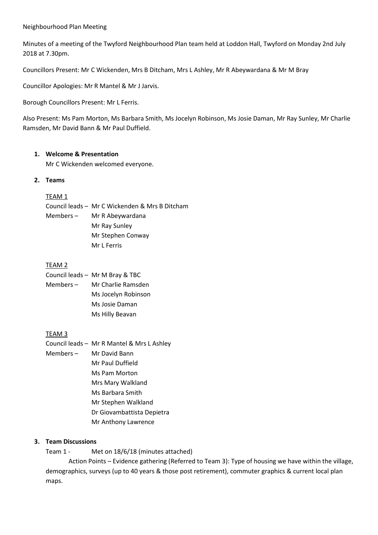#### Neighbourhood Plan Meeting

Minutes of a meeting of the Twyford Neighbourhood Plan team held at Loddon Hall, Twyford on Monday 2nd July 2018 at 7.30pm.

Councillors Present: Mr C Wickenden, Mrs B Ditcham, Mrs L Ashley, Mr R Abeywardana & Mr M Bray

Councillor Apologies: Mr R Mantel & Mr J Jarvis.

Borough Councillors Present: Mr L Ferris.

Also Present: Ms Pam Morton, Ms Barbara Smith, Ms Jocelyn Robinson, Ms Josie Daman, Mr Ray Sunley, Mr Charlie Ramsden, Mr David Bann & Mr Paul Duffield.

### **1. Welcome & Presentation**

Mr C Wickenden welcomed everyone.

## **2. Teams**

### TEAM 1

Council leads – Mr C Wickenden & Mrs B Ditcham Members – Mr R Abeywardana Mr Ray Sunley Mr Stephen Conway Mr L Ferris

# TEAM 2

|             | Council leads - Mr M Bray & TBC |
|-------------|---------------------------------|
| Members $-$ | Mr Charlie Ramsden              |
|             | Ms Jocelyn Robinson             |
|             | Ms Josie Daman                  |
|             | Ms Hilly Beavan                 |

## TEAM 3

- Council leads Mr R Mantel & Mrs L Ashley
- Members Mr David Bann Mr Paul Duffield Ms Pam Morton
	- Mrs Mary Walkland
	- Ms Barbara Smith
	- Mr Stephen Walkland
	- Dr Giovambattista Depietra
	- Mr Anthony Lawrence

## **3. Team Discussions**

Team 1 - Met on 18/6/18 (minutes attached)

Action Points – Evidence gathering (Referred to Team 3): Type of housing we have within the village, demographics, surveys (up to 40 years & those post retirement), commuter graphics & current local plan maps.